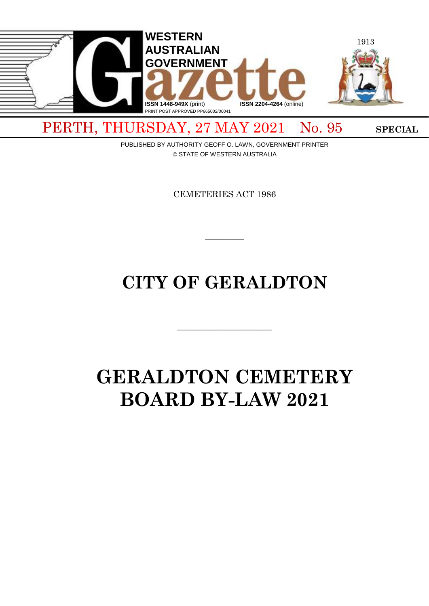

PERTH, THURSDAY, 27 MAY 2021 No. 95 SPECIAL

PUBLISHED BY AUTHORITY GEOFF O. LAWN, GOVERNMENT PRINTER © STATE OF WESTERN AUSTRALIA

CEMETERIES ACT 1986

 $\overline{\phantom{a}}$ 

# **CITY OF GERALDTON**

 $\overline{\phantom{a}}$  , and the contract of  $\overline{\phantom{a}}$ 

# **GERALDTON CEMETERY BOARD BY-LAW 2021**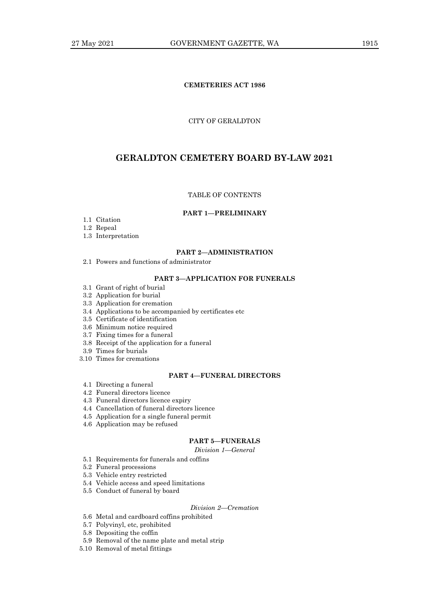# **CEMETERIES ACT 1986**

## CITY OF GERALDTON

# **GERALDTON CEMETERY BOARD BY-LAW 2021**

# TABLE OF CONTENTS

# **PART 1—PRELIMINARY**

- 1.1 Citation
- 1.2 Repeal
- 1.3 Interpretation

#### **PART 2—ADMINISTRATION**

2.1 Powers and functions of administrator

#### **PART 3—APPLICATION FOR FUNERALS**

- 3.1 Grant of right of burial
- 3.2 Application for burial
- 3.3 Application for cremation
- 3.4 Applications to be accompanied by certificates etc
- 3.5 Certificate of identification
- 3.6 Minimum notice required
- 3.7 Fixing times for a funeral
- 3.8 Receipt of the application for a funeral
- 3.9 Times for burials
- 3.10 Times for cremations

# **PART 4—FUNERAL DIRECTORS**

- 4.1 Directing a funeral
- 4.2 Funeral directors licence
- 4.3 Funeral directors licence expiry
- 4.4 Cancellation of funeral directors licence
- 4.5 Application for a single funeral permit
- 4.6 Application may be refused

## **PART 5—FUNERALS**

*Division 1—General*

- 5.1 Requirements for funerals and coffins
- 5.2 Funeral processions
- 5.3 Vehicle entry restricted
- 5.4 Vehicle access and speed limitations
- 5.5 Conduct of funeral by board

# *Division 2—Cremation*

- 5.6 Metal and cardboard coffins prohibited
- 5.7 Polyvinyl, etc, prohibited
- 5.8 Depositing the coffin
- 5.9 Removal of the name plate and metal strip
- 5.10 Removal of metal fittings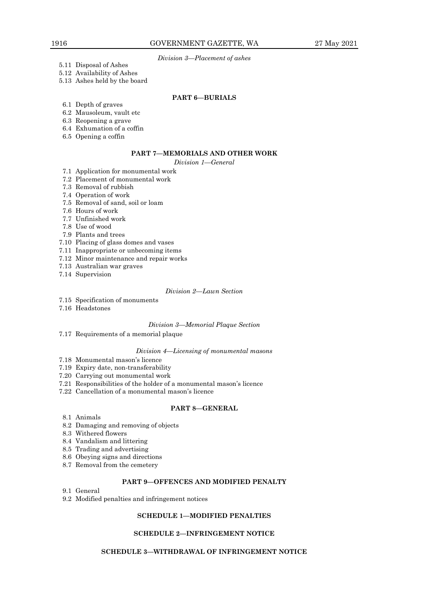*Division 3—Placement of ashes*

- 5.11 Disposal of Ashes
- 5.12 Availability of Ashes
- 5.13 Ashes held by the board

# **PART 6—BURIALS**

- 6.1 Depth of graves
- 6.2 Mausoleum, vault etc
- 6.3 Reopening a grave
- 6.4 Exhumation of a coffin
- 6.5 Opening a coffin

# **PART 7—MEMORIALS AND OTHER WORK**

*Division 1—General*

- 7.1 Application for monumental work
- 7.2 Placement of monumental work
- 7.3 Removal of rubbish
- 7.4 Operation of work
- 7.5 Removal of sand, soil or loam
- 7.6 Hours of work
- 7.7 Unfinished work
- 7.8 Use of wood
- 7.9 Plants and trees
- 7.10 Placing of glass domes and vases
- 7.11 Inappropriate or unbecoming items
- 7.12 Minor maintenance and repair works
- 7.13 Australian war graves
- 7.14 Supervision

# *Division 2—Lawn Section*

- 7.15 Specification of monuments
- 7.16 Headstones

#### *Division 3—Memorial Plaque Section*

7.17 Requirements of a memorial plaque

## *Division 4—Licensing of monumental masons*

- 7.18 Monumental mason's licence
- 7.19 Expiry date, non-transferability
- 7.20 Carrying out monumental work
- 7.21 Responsibilities of the holder of a monumental mason's licence
- 7.22 Cancellation of a monumental mason's licence

## **PART 8—GENERAL**

- 8.1 Animals
- 8.2 Damaging and removing of objects
- 8.3 Withered flowers
- 8.4 Vandalism and littering
- 8.5 Trading and advertising
- 8.6 Obeying signs and directions
- 8.7 Removal from the cemetery

# **PART 9—OFFENCES AND MODIFIED PENALTY**

- 9.1 General
- 9.2 Modified penalties and infringement notices

# **SCHEDULE 1—MODIFIED PENALTIES**

# **SCHEDULE 2—INFRINGEMENT NOTICE**

## **SCHEDULE 3—WITHDRAWAL OF INFRINGEMENT NOTICE**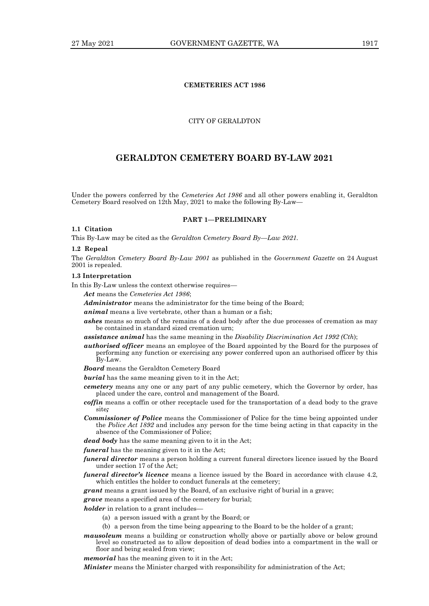# **CEMETERIES ACT 1986**

## CITY OF GERALDTON

# **GERALDTON CEMETERY BOARD BY-LAW 2021**

Under the powers conferred by the *Cemeteries Act 1986* and all other powers enabling it, Geraldton Cemetery Board resolved on 12th May, 2021 to make the following By-Law–

#### **PART 1—PRELIMINARY**

# **1.1 Citation**

This By-Law may be cited as the *Geraldton Cemetery Board By—Law 2021.*

#### **1.2 Repeal**

The *Geraldton Cemetery Board By-Law 2001* as published in the *Government Gazette* on 24 August 2001 is repealed.

#### **1.3 Interpretation**

In this By-Law unless the context otherwise requires—

*Act* means the *Cemeteries Act 1986*;

*Administrator* means the administrator for the time being of the Board;

*animal* means a live vertebrate, other than a human or a fish;

- *ashes* means so much of the remains of a dead body after the due processes of cremation as may be contained in standard sized cremation urn;
- *assistance animal* has the same meaning in the *Disability Discrimination Act 1992 (Cth*);
- *authorised officer* means an employee of the Board appointed by the Board for the purposes of performing any function or exercising any power conferred upon an authorised officer by this By-Law.
- *Board* means the Geraldton Cemetery Board

*burial* has the same meaning given to it in the Act;

- *cemetery* means any one or any part of any public cemetery, which the Governor by order, has placed under the care, control and management of the Board.
- *coffin* means a coffin or other receptacle used for the transportation of a dead body to the grave site*;*
- *Commissioner of Police* means the Commissioner of Police for the time being appointed under the *Police Act 1892* and includes any person for the time being acting in that capacity in the absence of the Commissioner of Police;
- *dead body* has the same meaning given to it in the Act;

*funeral* has the meaning given to it in the Act;

- *funeral director* means a person holding a current funeral directors licence issued by the Board under section 17 of the Act;
- *funeral director's licence* means a licence issued by the Board in accordance with clause 4.2, which entitles the holder to conduct funerals at the cemetery;

*grant* means a grant issued by the Board, of an exclusive right of burial in a grave;

*grave* means a specified area of the cemetery for burial;

*holder* in relation to a grant includes

- (a) a person issued with a grant by the Board; or
- (b) a person from the time being appearing to the Board to be the holder of a grant;
- *mausoleum* means a building or construction wholly above or partially above or below ground level so constructed as to allow deposition of dead bodies into a compartment in the wall or floor and being sealed from view;

*memorial* has the meaning given to it in the Act;

*Minister* means the Minister charged with responsibility for administration of the Act;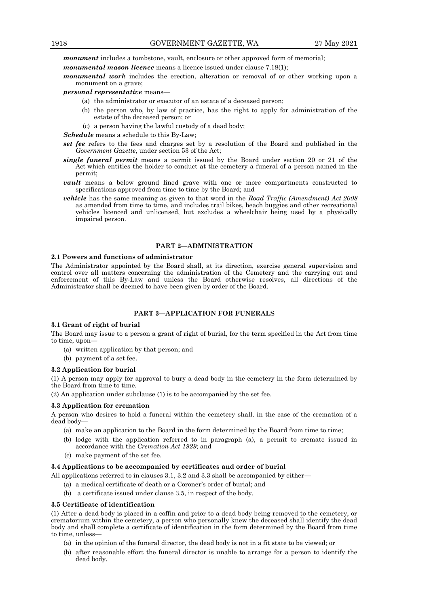*monument* includes a tombstone, vault, enclosure or other approved form of memorial;

*monumental mason licence* means a licence issued under clause 7.18(1);

*monumental work* includes the erection, alteration or removal of or other working upon a monument on a grave;

*personal representative* means—

- (a) the administrator or executor of an estate of a deceased person;
- (b) the person who, by law of practice, has the right to apply for administration of the estate of the deceased person; or
- (c) a person having the lawful custody of a dead body;

*Schedule* means a schedule to this By-Law;

- *set fee* refers to the fees and charges set by a resolution of the Board and published in the *Government Gazette*, under section 53 of the Act;
- *single funeral permit* means a permit issued by the Board under section 20 or 21 of the Act which entitles the holder to conduct at the cemetery a funeral of a person named in the permit;
- *vault* means a below ground lined grave with one or more compartments constructed to specifications approved from time to time by the Board; and
- *vehicle* has the same meaning as given to that word in the *Road Traffic (Amendment) Act 2008* as amended from time to time, and includes trail bikes, beach buggies and other recreational vehicles licenced and unlicensed, but excludes a wheelchair being used by a physically impaired person.

#### **PART 2—ADMINISTRATION**

#### **2.1 Powers and functions of administrator**

The Administrator appointed by the Board shall, at its direction, exercise general supervision and control over all matters concerning the administration of the Cemetery and the carrying out and enforcement of this By-Law and unless the Board otherwise resolves, all directions of the Administrator shall be deemed to have been given by order of the Board.

# **PART 3—APPLICATION FOR FUNERALS**

#### **3.1 Grant of right of burial**

The Board may issue to a person a grant of right of burial, for the term specified in the Act from time to time, upon—

- (a) written application by that person; and
- (b) payment of a set fee.

#### **3.2 Application for burial**

(1) A person may apply for approval to bury a dead body in the cemetery in the form determined by the Board from time to time.

(2) An application under subclause (1) is to be accompanied by the set fee.

#### **3.3 Application for cremation**

A person who desires to hold a funeral within the cemetery shall, in the case of the cremation of a dead body—

- (a) make an application to the Board in the form determined by the Board from time to time;
- (b) lodge with the application referred to in paragraph (a), a permit to cremate issued in accordance with the *Cremation Act 1929*; and
- (c) make payment of the set fee.

#### **3.4 Applications to be accompanied by certificates and order of burial**

- All applications referred to in clauses 3.1, 3.2 and 3.3 shall be accompanied by either—
	- (a) a medical certificate of death or a Coroner's order of burial; and
	- (b) a certificate issued under clause 3.5, in respect of the body.

#### **3.5 Certificate of identification**

(1) After a dead body is placed in a coffin and prior to a dead body being removed to the cemetery, or crematorium within the cemetery, a person who personally knew the deceased shall identify the dead body and shall complete a certificate of identification in the form determined by the Board from time to time, unless—

- (a) in the opinion of the funeral director, the dead body is not in a fit state to be viewed; or
- (b) after reasonable effort the funeral director is unable to arrange for a person to identify the dead body.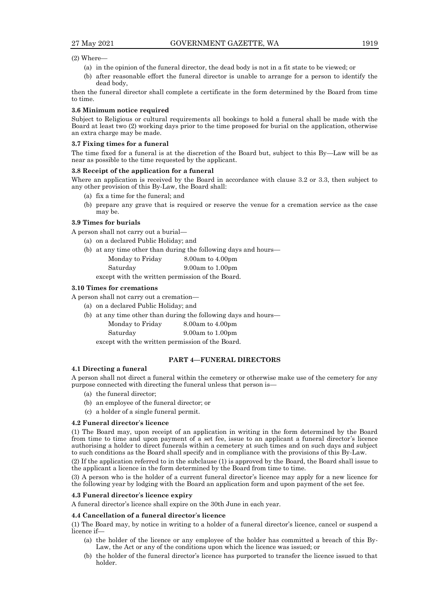#### (2) Where—

- (a) in the opinion of the funeral director, the dead body is not in a fit state to be viewed; or
- (b) after reasonable effort the funeral director is unable to arrange for a person to identify the dead body,

then the funeral director shall complete a certificate in the form determined by the Board from time to time.

#### **3.6 Minimum notice required**

Subject to Religious or cultural requirements all bookings to hold a funeral shall be made with the Board at least two (2) working days prior to the time proposed for burial on the application, otherwise an extra charge may be made.

#### **3.7 Fixing times for a funeral**

The time fixed for a funeral is at the discretion of the Board but, subject to this By—Law will be as near as possible to the time requested by the applicant.

#### **3.8 Receipt of the application for a funeral**

Where an application is received by the Board in accordance with clause 3.2 or 3.3, then subject to any other provision of this By-Law, the Board shall:

- (a) fix a time for the funeral; and
- (b) prepare any grave that is required or reserve the venue for a cremation service as the case may be.

#### **3.9 Times for burials**

A person shall not carry out a burial—

- (a) on a declared Public Holiday; and
- (b) at any time other than during the following days and hours—
	- Monday to Friday 8.00am to 4.00pm Saturday 9.00am to 1.00pm

except with the written permission of the Board.

#### **3.10 Times for cremations**

A person shall not carry out a cremation—

- (a) on a declared Public Holiday; and
- (b) at any time other than during the following days and hours— Monday to Friday 8.00am to 4.00pm
	- Saturday 9.00am to 1.00pm

except with the written permission of the Board.

# **PART 4—FUNERAL DIRECTORS**

## **4.1 Directing a funeral**

A person shall not direct a funeral within the cemetery or otherwise make use of the cemetery for any purpose connected with directing the funeral unless that person is—

- (a) the funeral director;
- (b) an employee of the funeral director; or
- (c) a holder of a single funeral permit.

#### **4.2 Funeral director**'**s licence**

(1) The Board may, upon receipt of an application in writing in the form determined by the Board from time to time and upon payment of a set fee, issue to an applicant a funeral director's licence authorising a holder to direct funerals within a cemetery at such times and on such days and subject to such conditions as the Board shall specify and in compliance with the provisions of this By-Law.

(2) If the application referred to in the subclause (1) is approved by the Board, the Board shall issue to the applicant a licence in the form determined by the Board from time to time.

(3) A person who is the holder of a current funeral director's licence may apply for a new licence for the following year by lodging with the Board an application form and upon payment of the set fee.

#### **4.3 Funeral director**'**s licence expiry**

A funeral director's licence shall expire on the 30th June in each year.

#### **4.4 Cancellation of a funeral director**'**s licence**

(1) The Board may, by notice in writing to a holder of a funeral director's licence, cancel or suspend a licence if—

- (a) the holder of the licence or any employee of the holder has committed a breach of this By-Law, the Act or any of the conditions upon which the licence was issued; or
- (b) the holder of the funeral director's licence has purported to transfer the licence issued to that holder.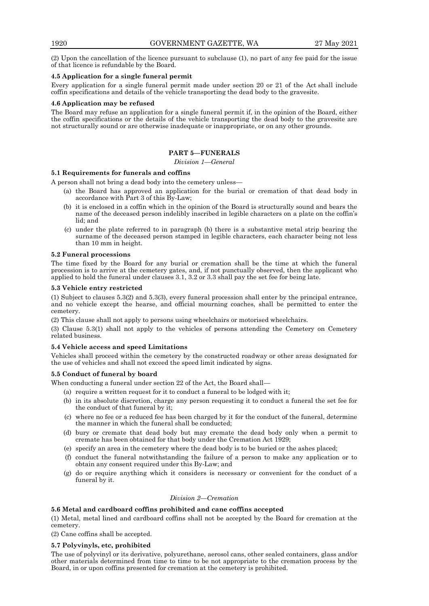(2) Upon the cancellation of the licence pursuant to subclause (1), no part of any fee paid for the issue of that licence is refundable by the Board.

# **4.5 Application for a single funeral permit**

Every application for a single funeral permit made under section 20 or 21 of the Act shall include coffin specifications and details of the vehicle transporting the dead body to the gravesite.

## **4.6 Application may be refused**

The Board may refuse an application for a single funeral permit if, in the opinion of the Board, either the coffin specifications or the details of the vehicle transporting the dead body to the gravesite are not structurally sound or are otherwise inadequate or inappropriate, or on any other grounds.

# **PART 5—FUNERALS**

*Division 1—General*

## **5.1 Requirements for funerals and coffins**

A person shall not bring a dead body into the cemetery unless—

- (a) the Board has approved an application for the burial or cremation of that dead body in accordance with Part 3 of this By-Law;
- (b) it is enclosed in a coffin which in the opinion of the Board is structurally sound and bears the name of the deceased person indelibly inscribed in legible characters on a plate on the coffin's lid; and
- (c) under the plate referred to in paragraph (b) there is a substantive metal strip bearing the surname of the deceased person stamped in legible characters, each character being not less than 10 mm in height.

## **5.2 Funeral processions**

The time fixed by the Board for any burial or cremation shall be the time at which the funeral procession is to arrive at the cemetery gates, and, if not punctually observed, then the applicant who applied to hold the funeral under clauses 3.1, 3.2 or 3.3 shall pay the set fee for being late.

#### **5.3 Vehicle entry restricted**

(1) Subject to clauses 5.3(2) and 5.3(3), every funeral procession shall enter by the principal entrance, and no vehicle except the hearse, and official mourning coaches, shall be permitted to enter the cemetery.

(2) This clause shall not apply to persons using wheelchairs or motorised wheelchairs.

(3) Clause 5.3(1) shall not apply to the vehicles of persons attending the Cemetery on Cemetery related business.

## **5.4 Vehicle access and speed Limitations**

Vehicles shall proceed within the cemetery by the constructed roadway or other areas designated for the use of vehicles and shall not exceed the speed limit indicated by signs.

## **5.5 Conduct of funeral by board**

When conducting a funeral under section 22 of the Act, the Board shall—

- (a) require a written request for it to conduct a funeral to be lodged with it;
- (b) in its absolute discretion, charge any person requesting it to conduct a funeral the set fee for the conduct of that funeral by it;
- (c) where no fee or a reduced fee has been charged by it for the conduct of the funeral, determine the manner in which the funeral shall be conducted;
- (d) bury or cremate that dead body but may cremate the dead body only when a permit to cremate has been obtained for that body under the Cremation Act 1929;
- (e) specify an area in the cemetery where the dead body is to be buried or the ashes placed;
- (f) conduct the funeral notwithstanding the failure of a person to make any application or to obtain any consent required under this By-Law; and
- (g) do or require anything which it considers is necessary or convenient for the conduct of a funeral by it.

#### *Division 2—Cremation*

#### **5.6 Metal and cardboard coffins prohibited and cane coffins accepted**

(1) Metal, metal lined and cardboard coffins shall not be accepted by the Board for cremation at the cemetery.

(2) Cane coffins shall be accepted.

## **5.7 Polyvinyls, etc, prohibited**

The use of polyvinyl or its derivative, polyurethane, aerosol cans, other sealed containers, glass and/or other materials determined from time to time to be not appropriate to the cremation process by the Board, in or upon coffins presented for cremation at the cemetery is prohibited.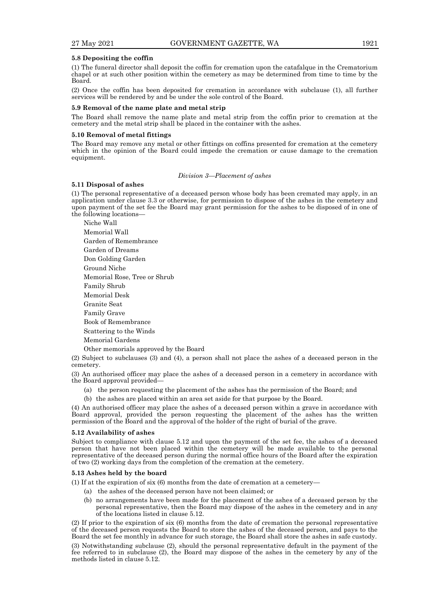#### **5.8 Depositing the coffin**

(1) The funeral director shall deposit the coffin for cremation upon the catafalque in the Crematorium chapel or at such other position within the cemetery as may be determined from time to time by the Board.

(2) Once the coffin has been deposited for cremation in accordance with subclause (1), all further services will be rendered by and be under the sole control of the Board.

#### **5.9 Removal of the name plate and metal strip**

The Board shall remove the name plate and metal strip from the coffin prior to cremation at the cemetery and the metal strip shall be placed in the container with the ashes.

#### **5.10 Removal of metal fittings**

The Board may remove any metal or other fittings on coffins presented for cremation at the cemetery which in the opinion of the Board could impede the cremation or cause damage to the cremation equipment.

#### *Division 3—Placement of ashes*

#### **5.11 Disposal of ashes**

(1) The personal representative of a deceased person whose body has been cremated may apply, in an application under clause 3.3 or otherwise, for permission to dispose of the ashes in the cemetery and upon payment of the set fee the Board may grant permission for the ashes to be disposed of in one of the following locations—

Niche Wall Memorial Wall Garden of Remembrance Garden of Dreams Don Golding Garden Ground Niche Memorial Rose, Tree or Shrub Family Shrub Memorial Desk Granite Seat Family Grave Book of Remembrance Scattering to the Winds Memorial Gardens

Other memorials approved by the Board

(2) Subject to subclauses (3) and (4), a person shall not place the ashes of a deceased person in the cemetery.

(3) An authorised officer may place the ashes of a deceased person in a cemetery in accordance with the Board approval provided—

- (a) the person requesting the placement of the ashes has the permission of the Board; and
- (b) the ashes are placed within an area set aside for that purpose by the Board.

(4) An authorised officer may place the ashes of a deceased person within a grave in accordance with Board approval, provided the person requesting the placement of the ashes has the written permission of the Board and the approval of the holder of the right of burial of the grave.

#### **5.12 Availability of ashes**

Subject to compliance with clause 5.12 and upon the payment of the set fee, the ashes of a deceased person that have not been placed within the cemetery will be made available to the personal representative of the deceased person during the normal office hours of the Board after the expiration of two (2) working days from the completion of the cremation at the cemetery.

#### **5.13 Ashes held by the board**

(1) If at the expiration of six (6) months from the date of cremation at a cemetery—

- (a) the ashes of the deceased person have not been claimed; or
- (b) no arrangements have been made for the placement of the ashes of a deceased person by the personal representative, then the Board may dispose of the ashes in the cemetery and in any of the locations listed in clause 5.12.

(2) If prior to the expiration of six (6) months from the date of cremation the personal representative of the deceased person requests the Board to store the ashes of the deceased person, and pays to the Board the set fee monthly in advance for such storage, the Board shall store the ashes in safe custody.

(3) Notwithstanding subclause (2), should the personal representative default in the payment of the fee referred to in subclause (2), the Board may dispose of the ashes in the cemetery by any of the methods listed in clause 5.12.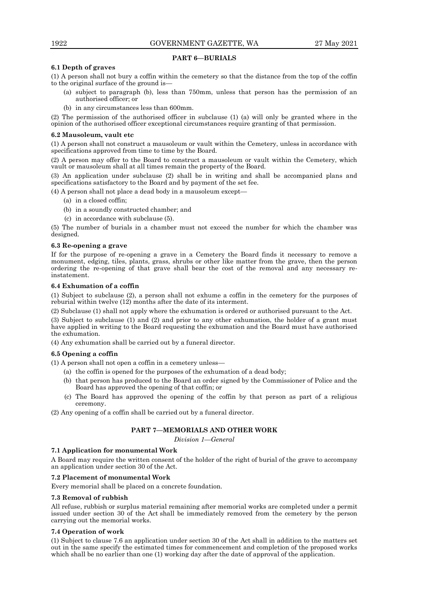#### **PART 6—BURIALS**

# **6.1 Depth of graves**

(1) A person shall not bury a coffin within the cemetery so that the distance from the top of the coffin to the original surface of the ground is—

- (a) subject to paragraph (b), less than 750mm, unless that person has the permission of an authorised officer; or
- (b) in any circumstances less than 600mm.

(2) The permission of the authorised officer in subclause (1) (a) will only be granted where in the opinion of the authorised officer exceptional circumstances require granting of that permission.

#### **6.2 Mausoleum, vault etc**

(1) A person shall not construct a mausoleum or vault within the Cemetery, unless in accordance with specifications approved from time to time by the Board.

(2) A person may offer to the Board to construct a mausoleum or vault within the Cemetery, which vault or mausoleum shall at all times remain the property of the Board.

(3) An application under subclause (2) shall be in writing and shall be accompanied plans and specifications satisfactory to the Board and by payment of the set fee.

(4) A person shall not place a dead body in a mausoleum except—

- (a) in a closed coffin;
- (b) in a soundly constructed chamber; and
- (c) in accordance with subclause (5).

(5) The number of burials in a chamber must not exceed the number for which the chamber was designed.

#### **6.3 Re-opening a grave**

If for the purpose of re-opening a grave in a Cemetery the Board finds it necessary to remove a monument, edging, tiles, plants, grass, shrubs or other like matter from the grave, then the person ordering the re-opening of that grave shall bear the cost of the removal and any necessary reinstatement.

#### **6.4 Exhumation of a coffin**

(1) Subject to subclause (2), a person shall not exhume a coffin in the cemetery for the purposes of reburial within twelve (12) months after the date of its interment.

(2) Subclause (1) shall not apply where the exhumation is ordered or authorised pursuant to the Act.

(3) Subject to subclause (1) and (2) and prior to any other exhumation, the holder of a grant must have applied in writing to the Board requesting the exhumation and the Board must have authorised the exhumation.

(4) Any exhumation shall be carried out by a funeral director.

## **6.5 Opening a coffin**

(1) A person shall not open a coffin in a cemetery unless—

- (a) the coffin is opened for the purposes of the exhumation of a dead body;
- (b) that person has produced to the Board an order signed by the Commissioner of Police and the Board has approved the opening of that coffin; or
- (c) The Board has approved the opening of the coffin by that person as part of a religious ceremony.

(2) Any opening of a coffin shall be carried out by a funeral director.

## **PART 7—MEMORIALS AND OTHER WORK**

*Division 1—General*

## **7.1 Application for monumental Work**

A Board may require the written consent of the holder of the right of burial of the grave to accompany an application under section 30 of the Act.

#### **7.2 Placement of monumental Work**

Every memorial shall be placed on a concrete foundation.

#### **7.3 Removal of rubbish**

All refuse, rubbish or surplus material remaining after memorial works are completed under a permit issued under section 30 of the Act shall be immediately removed from the cemetery by the person carrying out the memorial works.

## **7.4 Operation of work**

(1) Subject to clause 7.6 an application under section 30 of the Act shall in addition to the matters set out in the same specify the estimated times for commencement and completion of the proposed works which shall be no earlier than one (1) working day after the date of approval of the application.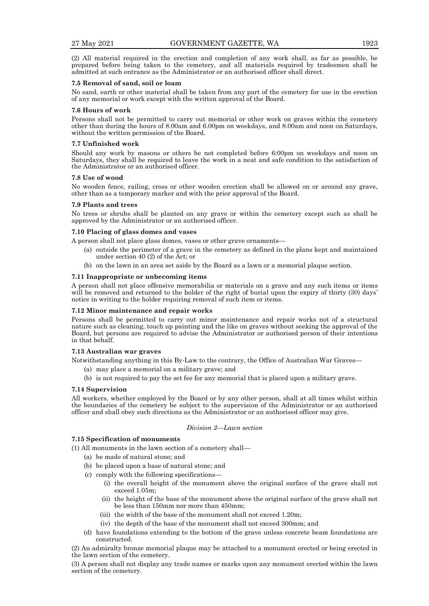(2) All material required in the erection and completion of any work shall, as far as possible, be prepared before being taken to the cemetery, and all materials required by tradesmen shall be admitted at such entrance as the Administrator or an authorised officer shall direct.

#### **7.5 Removal of sand, soil or loam**

No sand, earth or other material shall be taken from any part of the cemetery for use in the erection of any memorial or work except with the written approval of the Board.

#### **7.6 Hours of work**

Persons shall not be permitted to carry out memorial or other work on graves within the cemetery other than during the hours of 8.00am and 6.00pm on weekdays, and 8.00am and noon on Saturdays, without the written permission of the Board.

#### **7.7 Unfinished work**

Should any work by masons or others be not completed before 6:00pm on weekdays and noon on Saturdays, they shall be required to leave the work in a neat and safe condition to the satisfaction of the Administrator or an authorised officer.

#### **7.8 Use of wood**

No wooden fence, railing, cross or other wooden erection shall be allowed on or around any grave, other than as a temporary marker and with the prior approval of the Board.

#### **7.9 Plants and trees**

No trees or shrubs shall be planted on any grave or within the cemetery except such as shall be approved by the Administrator or an authorised officer.

## **7.10 Placing of glass domes and vases**

A person shall not place glass domes, vases or other grave ornaments—

- (a) outside the perimeter of a grave in the cemetery as defined in the plans kept and maintained under section 40 (2) of the Act; or
- (b) on the lawn in an area set aside by the Board as a lawn or a memorial plaque section.

#### **7.11 Inappropriate or unbecoming items**

A person shall not place offensive memorabilia or materials on a grave and any such items or items will be removed and returned to the holder of the right of burial upon the expiry of thirty (30) days' notice in writing to the holder requiring removal of such item or items.

## **7.12 Minor maintenance and repair works**

Persons shall be permitted to carry out minor maintenance and repair works not of a structural nature such as cleaning, touch up painting and the like on graves without seeking the approval of the Board, but persons are required to advise the Administrator or authorised person of their intentions in that behalf.

#### **7.13 Australian war graves**

Notwithstanding anything in this By-Law to the contrary, the Office of Australian War Graves—

- (a) may place a memorial on a military grave; and
- (b) is not required to pay the set fee for any memorial that is placed upon a military grave.

## **7.14 Supervision**

All workers, whether employed by the Board or by any other person, shall at all times whilst within the boundaries of the cemetery be subject to the supervision of the Administrator or an authorised officer and shall obey such directions as the Administrator or an authorised officer may give.

#### *Division 2—Lawn section*

#### **7.15 Specification of monuments**

(1) All monuments in the lawn section of a cemetery shall—

- (a) be made of natural stone; and
- (b) be placed upon a base of natural stone; and
- (c) comply with the following specifications—
	- (i) the overall height of the monument above the original surface of the grave shall not exceed 1.05m;
	- (ii) the height of the base of the monument above the original surface of the grave shall not be less than 150mm nor more than 450mm;
	- (iii) the width of the base of the monument shall not exceed 1.20m;
	- (iv) the depth of the base of the monument shall not exceed 300mm; and
- (d) have foundations extending to the bottom of the grave unless concrete beam foundations are constructed.

(2) An admiralty bronze memorial plaque may be attached to a monument erected or being erected in the lawn section of the cemetery.

(3) A person shall not display any trade names or marks upon any monument erected within the lawn section of the cemetery.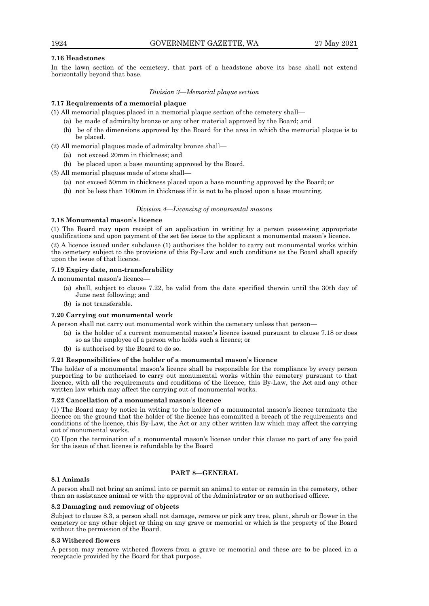## **7.16 Headstones**

In the lawn section of the cemetery, that part of a headstone above its base shall not extend horizontally beyond that base.

*Division 3—Memorial plaque section*

# **7.17 Requirements of a memorial plaque**

(1) All memorial plaques placed in a memorial plaque section of the cemetery shall—

- (a) be made of admiralty bronze or any other material approved by the Board; and
- (b) be of the dimensions approved by the Board for the area in which the memorial plaque is to be placed.
- (2) All memorial plaques made of admiralty bronze shall—
	- (a) not exceed 20mm in thickness; and
	- (b) be placed upon a base mounting approved by the Board.

(3) All memorial plaques made of stone shall—

- (a) not exceed 50mm in thickness placed upon a base mounting approved by the Board; or
- (b) not be less than 100mm in thickness if it is not to be placed upon a base mounting.

## *Division 4—Licensing of monumental masons*

## **7.18 Monumental mason**'**s licence**

(1) The Board may upon receipt of an application in writing by a person possessing appropriate qualifications and upon payment of the set fee issue to the applicant a monumental mason's licence. (2) A licence issued under subclause (1) authorises the holder to carry out monumental works within the cemetery subject to the provisions of this By-Law and such conditions as the Board shall specify upon the issue of that licence.

# **7.19 Expiry date, non-transferability**

A monumental mason's licence—

- (a) shall, subject to clause 7.22, be valid from the date specified therein until the 30th day of June next following; and
- (b) is not transferable.

## **7.20 Carrying out monumental work**

A person shall not carry out monumental work within the cemetery unless that person—

- (a) is the holder of a current monumental mason's licence issued pursuant to clause 7.18 or does so as the employee of a person who holds such a licence; or
- (b) is authorised by the Board to do so.

## **7.21 Responsibilities of the holder of a monumental mason**'**s licence**

The holder of a monumental mason's licence shall be responsible for the compliance by every person purporting to be authorised to carry out monumental works within the cemetery pursuant to that licence, with all the requirements and conditions of the licence, this By-Law, the Act and any other written law which may affect the carrying out of monumental works.

## **7.22 Cancellation of a monumental mason**'**s licence**

(1) The Board may by notice in writing to the holder of a monumental mason's licence terminate the licence on the ground that the holder of the licence has committed a breach of the requirements and conditions of the licence, this By-Law, the Act or any other written law which may affect the carrying out of monumental works.

(2) Upon the termination of a monumental mason's license under this clause no part of any fee paid for the issue of that license is refundable by the Board

## **8.1 Animals**

## **PART 8—GENERAL**

A person shall not bring an animal into or permit an animal to enter or remain in the cemetery, other than an assistance animal or with the approval of the Administrator or an authorised officer.

## **8.2 Damaging and removing of objects**

Subject to clause 8.3, a person shall not damage, remove or pick any tree, plant, shrub or flower in the cemetery or any other object or thing on any grave or memorial or which is the property of the Board without the permission of the Board.

## **8.3 Withered flowers**

A person may remove withered flowers from a grave or memorial and these are to be placed in a receptacle provided by the Board for that purpose.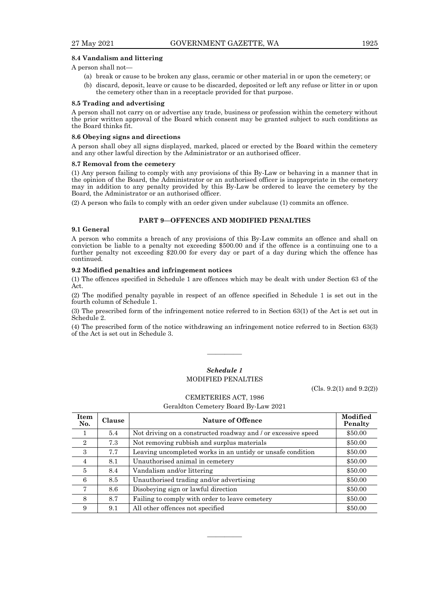#### **8.4 Vandalism and littering**

A person shall not—

- (a) break or cause to be broken any glass, ceramic or other material in or upon the cemetery; or
- (b) discard, deposit, leave or cause to be discarded, deposited or left any refuse or litter in or upon the cemetery other than in a receptacle provided for that purpose.

#### **8.5 Trading and advertising**

A person shall not carry on or advertise any trade, business or profession within the cemetery without the prior written approval of the Board which consent may be granted subject to such conditions as the Board thinks fit.

#### **8.6 Obeying signs and directions**

A person shall obey all signs displayed, marked, placed or erected by the Board within the cemetery and any other lawful direction by the Administrator or an authorised officer.

#### **8.7 Removal from the cemetery**

(1) Any person failing to comply with any provisions of this By-Law or behaving in a manner that in the opinion of the Board, the Administrator or an authorised officer is inappropriate in the cemetery may in addition to any penalty provided by this By-Law be ordered to leave the cemetery by the Board, the Administrator or an authorised officer.

(2) A person who fails to comply with an order given under subclause (1) commits an offence.

# **PART 9—OFFENCES AND MODIFIED PENALTIES**

#### **9.1 General**

A person who commits a breach of any provisions of this By-Law commits an offence and shall on conviction be liable to a penalty not exceeding \$500.00 and if the offence is a continuing one to a further penalty not exceeding \$20.00 for every day or part of a day during which the offence has continued.

#### **9.2 Modified penalties and infringement notices**

(1) The offences specified in Schedule 1 are offences which may be dealt with under Section 63 of the Act.

(2) The modified penalty payable in respect of an offence specified in Schedule 1 is set out in the fourth column of Schedule 1.

(3) The prescribed form of the infringement notice referred to in Section 63(1) of the Act is set out in Schedule 2.

(4) The prescribed form of the notice withdrawing an infringement notice referred to in Section 63(3) of the Act is set out in Schedule 3.

# *Schedule 1* MODIFIED PENALTIES

————

(Cls. 9.2(1) and 9.2(2))

CEMETERIES ACT, 1986

Geraldton Cemetery Board By-Law 2021

| <b>Item</b><br>No. | <b>Clause</b> | <b>Nature of Offence</b>                                      | Modified<br>Penalty |
|--------------------|---------------|---------------------------------------------------------------|---------------------|
|                    | 5.4           | Not driving on a constructed roadway and / or excessive speed | \$50.00             |
| $\overline{2}$     | 7.3           | Not removing rubbish and surplus materials                    | \$50.00             |
| 3                  | 7.7           | Leaving uncompleted works in an untidy or unsafe condition    | \$50.00             |
| $\overline{4}$     | 8.1           | Unauthorised animal in cemetery                               | \$50.00             |
| $\overline{5}$     | 8.4           | Vandalism and/or littering                                    | \$50.00             |
| 6                  | 8.5           | Unauthorised trading and/or advertising                       | \$50.00             |
| 7                  | 8.6           | Disobeying sign or lawful direction                           | \$50.00             |
| 8                  | 8.7           | Failing to comply with order to leave cemetery                | \$50.00             |
| 9                  | 9.1           | All other offences not specified                              | \$50.00             |

————